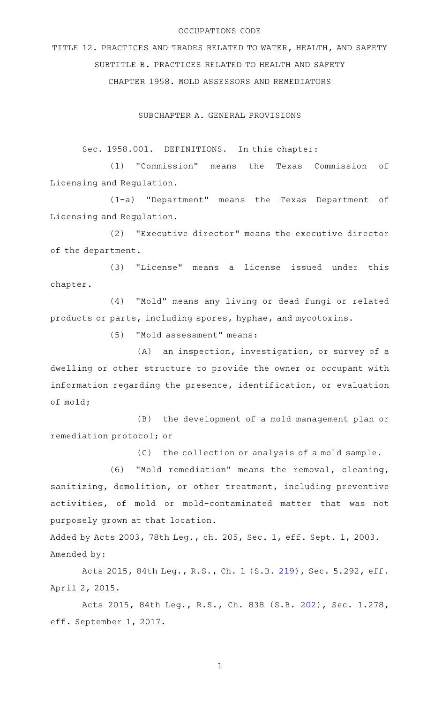## OCCUPATIONS CODE

TITLE 12. PRACTICES AND TRADES RELATED TO WATER, HEALTH, AND SAFETY SUBTITLE B. PRACTICES RELATED TO HEALTH AND SAFETY CHAPTER 1958. MOLD ASSESSORS AND REMEDIATORS

SUBCHAPTER A. GENERAL PROVISIONS

Sec. 1958.001. DEFINITIONS. In this chapter:

(1) "Commission" means the Texas Commission of Licensing and Regulation.

(1-a) "Department" means the Texas Department of Licensing and Regulation.

(2) "Executive director" means the executive director of the department.

(3) "License" means a license issued under this chapter.

(4) "Mold" means any living or dead fungi or related products or parts, including spores, hyphae, and mycotoxins.

(5) "Mold assessment" means:

 $(A)$  an inspection, investigation, or survey of a dwelling or other structure to provide the owner or occupant with information regarding the presence, identification, or evaluation of mold;

(B) the development of a mold management plan or remediation protocol; or

(C) the collection or analysis of a mold sample.

(6) "Mold remediation" means the removal, cleaning, sanitizing, demolition, or other treatment, including preventive activities, of mold or mold-contaminated matter that was not purposely grown at that location.

Added by Acts 2003, 78th Leg., ch. 205, Sec. 1, eff. Sept. 1, 2003. Amended by:

Acts 2015, 84th Leg., R.S., Ch. 1 (S.B. [219](http://www.legis.state.tx.us/tlodocs/84R/billtext/html/SB00219F.HTM)), Sec. 5.292, eff. April 2, 2015.

Acts 2015, 84th Leg., R.S., Ch. 838 (S.B. [202](http://www.legis.state.tx.us/tlodocs/84R/billtext/html/SB00202F.HTM)), Sec. 1.278, eff. September 1, 2017.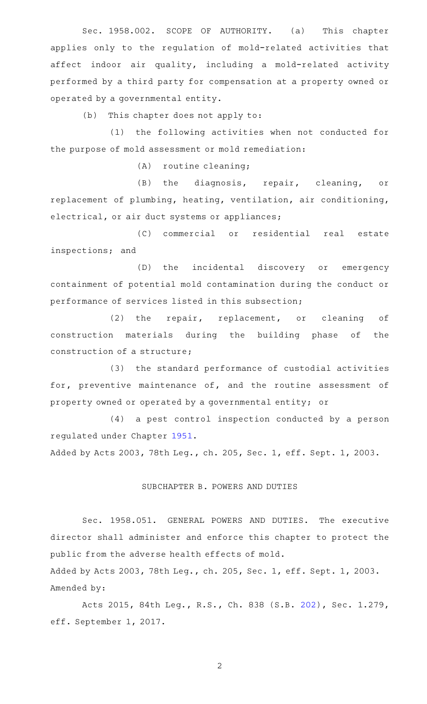Sec. 1958.002. SCOPE OF AUTHORITY. (a) This chapter applies only to the regulation of mold-related activities that affect indoor air quality, including a mold-related activity performed by a third party for compensation at a property owned or operated by a governmental entity.

 $(b)$  This chapter does not apply to:

(1) the following activities when not conducted for the purpose of mold assessment or mold remediation:

 $(A)$  routine cleaning;

(B) the diagnosis, repair, cleaning, or replacement of plumbing, heating, ventilation, air conditioning, electrical, or air duct systems or appliances;

(C) commercial or residential real estate inspections; and

(D) the incidental discovery or emergency containment of potential mold contamination during the conduct or performance of services listed in this subsection;

(2) the repair, replacement, or cleaning of construction materials during the building phase of the construction of a structure;

(3) the standard performance of custodial activities for, preventive maintenance of, and the routine assessment of property owned or operated by a governmental entity; or

(4) a pest control inspection conducted by a person regulated under Chapter [1951.](http://www.statutes.legis.state.tx.us/GetStatute.aspx?Code=OC&Value=1951)

Added by Acts 2003, 78th Leg., ch. 205, Sec. 1, eff. Sept. 1, 2003.

## SUBCHAPTER B. POWERS AND DUTIES

Sec. 1958.051. GENERAL POWERS AND DUTIES. The executive director shall administer and enforce this chapter to protect the public from the adverse health effects of mold.

Added by Acts 2003, 78th Leg., ch. 205, Sec. 1, eff. Sept. 1, 2003. Amended by:

Acts 2015, 84th Leg., R.S., Ch. 838 (S.B. [202](http://www.legis.state.tx.us/tlodocs/84R/billtext/html/SB00202F.HTM)), Sec. 1.279, eff. September 1, 2017.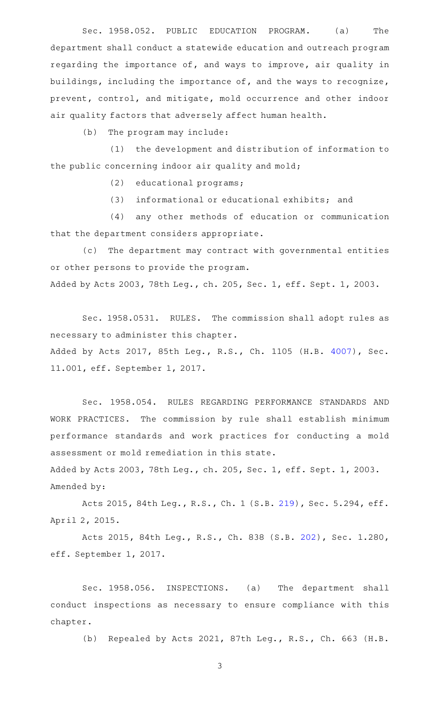Sec. 1958.052. PUBLIC EDUCATION PROGRAM. (a) The department shall conduct a statewide education and outreach program regarding the importance of, and ways to improve, air quality in buildings, including the importance of, and the ways to recognize, prevent, control, and mitigate, mold occurrence and other indoor air quality factors that adversely affect human health.

 $(b)$  The program may include:

(1) the development and distribution of information to the public concerning indoor air quality and mold;

(2) educational programs;

(3) informational or educational exhibits; and

(4) any other methods of education or communication that the department considers appropriate.

(c) The department may contract with governmental entities or other persons to provide the program.

Added by Acts 2003, 78th Leg., ch. 205, Sec. 1, eff. Sept. 1, 2003.

Sec. 1958.0531. RULES. The commission shall adopt rules as necessary to administer this chapter. Added by Acts 2017, 85th Leg., R.S., Ch. 1105 (H.B. [4007](http://www.legis.state.tx.us/tlodocs/85R/billtext/html/HB04007F.HTM)), Sec. 11.001, eff. September 1, 2017.

Sec. 1958.054. RULES REGARDING PERFORMANCE STANDARDS AND WORK PRACTICES. The commission by rule shall establish minimum performance standards and work practices for conducting a mold assessment or mold remediation in this state.

Added by Acts 2003, 78th Leg., ch. 205, Sec. 1, eff. Sept. 1, 2003. Amended by:

Acts 2015, 84th Leg., R.S., Ch. 1 (S.B. [219](http://www.legis.state.tx.us/tlodocs/84R/billtext/html/SB00219F.HTM)), Sec. 5.294, eff. April 2, 2015.

Acts 2015, 84th Leg., R.S., Ch. 838 (S.B. [202](http://www.legis.state.tx.us/tlodocs/84R/billtext/html/SB00202F.HTM)), Sec. 1.280, eff. September 1, 2017.

Sec. 1958.056. INSPECTIONS. (a) The department shall conduct inspections as necessary to ensure compliance with this chapter.

(b) Repealed by Acts 2021, 87th Leg., R.S., Ch. 663 (H.B.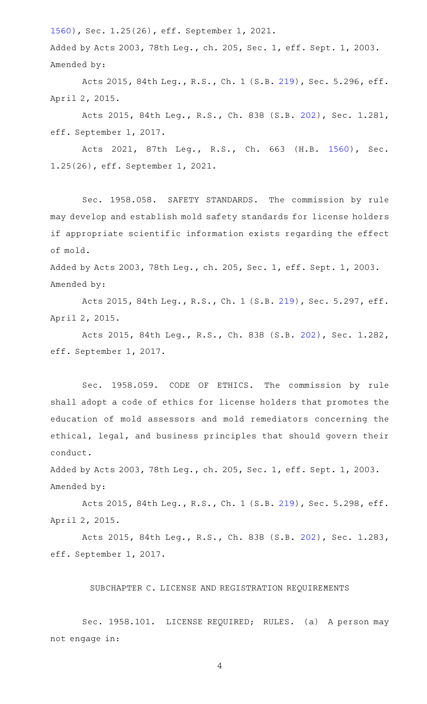[1560](http://www.legis.state.tx.us/tlodocs/87R/billtext/html/HB01560F.HTM)), Sec. 1.25(26), eff. September 1, 2021.

Added by Acts 2003, 78th Leg., ch. 205, Sec. 1, eff. Sept. 1, 2003. Amended by:

Acts 2015, 84th Leg., R.S., Ch. 1 (S.B. [219](http://www.legis.state.tx.us/tlodocs/84R/billtext/html/SB00219F.HTM)), Sec. 5.296, eff. April 2, 2015.

Acts 2015, 84th Leg., R.S., Ch. 838 (S.B. [202](http://www.legis.state.tx.us/tlodocs/84R/billtext/html/SB00202F.HTM)), Sec. 1.281, eff. September 1, 2017.

Acts 2021, 87th Leg., R.S., Ch. 663 (H.B. [1560\)](http://www.legis.state.tx.us/tlodocs/87R/billtext/html/HB01560F.HTM), Sec. 1.25(26), eff. September 1, 2021.

Sec. 1958.058. SAFETY STANDARDS. The commission by rule may develop and establish mold safety standards for license holders if appropriate scientific information exists regarding the effect of mold.

Added by Acts 2003, 78th Leg., ch. 205, Sec. 1, eff. Sept. 1, 2003. Amended by:

Acts 2015, 84th Leg., R.S., Ch. 1 (S.B. [219](http://www.legis.state.tx.us/tlodocs/84R/billtext/html/SB00219F.HTM)), Sec. 5.297, eff. April 2, 2015.

Acts 2015, 84th Leg., R.S., Ch. 838 (S.B. [202](http://www.legis.state.tx.us/tlodocs/84R/billtext/html/SB00202F.HTM)), Sec. 1.282, eff. September 1, 2017.

Sec. 1958.059. CODE OF ETHICS. The commission by rule shall adopt a code of ethics for license holders that promotes the education of mold assessors and mold remediators concerning the ethical, legal, and business principles that should govern their conduct.

Added by Acts 2003, 78th Leg., ch. 205, Sec. 1, eff. Sept. 1, 2003. Amended by:

Acts 2015, 84th Leg., R.S., Ch. 1 (S.B. [219](http://www.legis.state.tx.us/tlodocs/84R/billtext/html/SB00219F.HTM)), Sec. 5.298, eff. April 2, 2015.

Acts 2015, 84th Leg., R.S., Ch. 838 (S.B. [202](http://www.legis.state.tx.us/tlodocs/84R/billtext/html/SB00202F.HTM)), Sec. 1.283, eff. September 1, 2017.

SUBCHAPTER C. LICENSE AND REGISTRATION REQUIREMENTS

Sec. 1958.101. LICENSE REQUIRED; RULES. (a) A person may not engage in: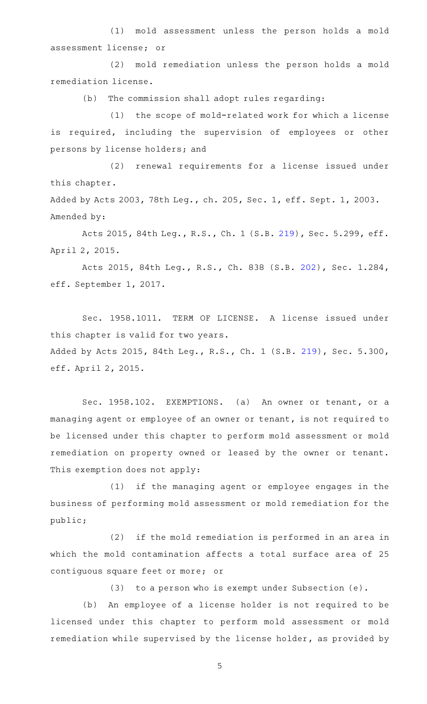(1) mold assessment unless the person holds a mold assessment license; or

(2) mold remediation unless the person holds a mold remediation license.

(b) The commission shall adopt rules regarding:

(1) the scope of mold-related work for which a license is required, including the supervision of employees or other persons by license holders; and

(2) renewal requirements for a license issued under this chapter.

Added by Acts 2003, 78th Leg., ch. 205, Sec. 1, eff. Sept. 1, 2003. Amended by:

Acts 2015, 84th Leg., R.S., Ch. 1 (S.B. [219](http://www.legis.state.tx.us/tlodocs/84R/billtext/html/SB00219F.HTM)), Sec. 5.299, eff. April 2, 2015.

Acts 2015, 84th Leg., R.S., Ch. 838 (S.B. [202](http://www.legis.state.tx.us/tlodocs/84R/billtext/html/SB00202F.HTM)), Sec. 1.284, eff. September 1, 2017.

Sec. 1958.1011. TERM OF LICENSE. A license issued under this chapter is valid for two years.

Added by Acts 2015, 84th Leg., R.S., Ch. 1 (S.B. [219](http://www.legis.state.tx.us/tlodocs/84R/billtext/html/SB00219F.HTM)), Sec. 5.300, eff. April 2, 2015.

Sec. 1958.102. EXEMPTIONS. (a) An owner or tenant, or a managing agent or employee of an owner or tenant, is not required to be licensed under this chapter to perform mold assessment or mold remediation on property owned or leased by the owner or tenant. This exemption does not apply:

(1) if the managing agent or employee engages in the business of performing mold assessment or mold remediation for the public;

(2) if the mold remediation is performed in an area in which the mold contamination affects a total surface area of 25 contiguous square feet or more; or

(3) to a person who is exempt under Subsection  $(e)$ .

(b) An employee of a license holder is not required to be licensed under this chapter to perform mold assessment or mold remediation while supervised by the license holder, as provided by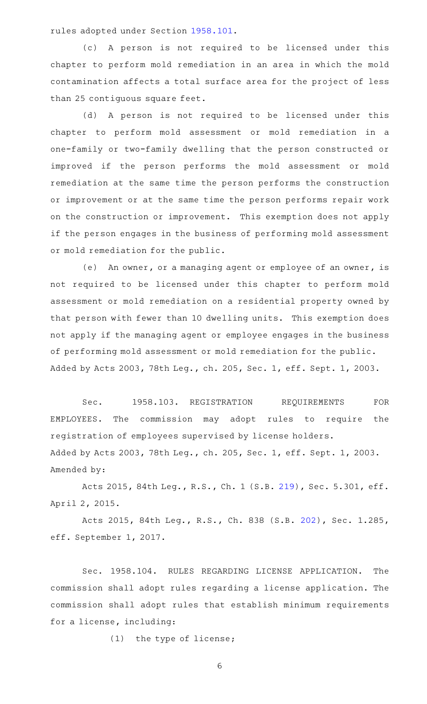rules adopted under Section [1958.101.](http://www.statutes.legis.state.tx.us/GetStatute.aspx?Code=OC&Value=1958.101)

(c)AAA person is not required to be licensed under this chapter to perform mold remediation in an area in which the mold contamination affects a total surface area for the project of less than 25 contiguous square feet.

(d) A person is not required to be licensed under this chapter to perform mold assessment or mold remediation in a one-family or two-family dwelling that the person constructed or improved if the person performs the mold assessment or mold remediation at the same time the person performs the construction or improvement or at the same time the person performs repair work on the construction or improvement. This exemption does not apply if the person engages in the business of performing mold assessment or mold remediation for the public.

(e) An owner, or a managing agent or employee of an owner, is not required to be licensed under this chapter to perform mold assessment or mold remediation on a residential property owned by that person with fewer than 10 dwelling units. This exemption does not apply if the managing agent or employee engages in the business of performing mold assessment or mold remediation for the public. Added by Acts 2003, 78th Leg., ch. 205, Sec. 1, eff. Sept. 1, 2003.

Sec. 1958.103. REGISTRATION REQUIREMENTS FOR EMPLOYEES. The commission may adopt rules to require the registration of employees supervised by license holders. Added by Acts 2003, 78th Leg., ch. 205, Sec. 1, eff. Sept. 1, 2003. Amended by:

Acts 2015, 84th Leg., R.S., Ch. 1 (S.B. [219](http://www.legis.state.tx.us/tlodocs/84R/billtext/html/SB00219F.HTM)), Sec. 5.301, eff. April 2, 2015.

Acts 2015, 84th Leg., R.S., Ch. 838 (S.B. [202](http://www.legis.state.tx.us/tlodocs/84R/billtext/html/SB00202F.HTM)), Sec. 1.285, eff. September 1, 2017.

Sec. 1958.104. RULES REGARDING LICENSE APPLICATION. The commission shall adopt rules regarding a license application. The commission shall adopt rules that establish minimum requirements for a license, including:

(1) the type of license;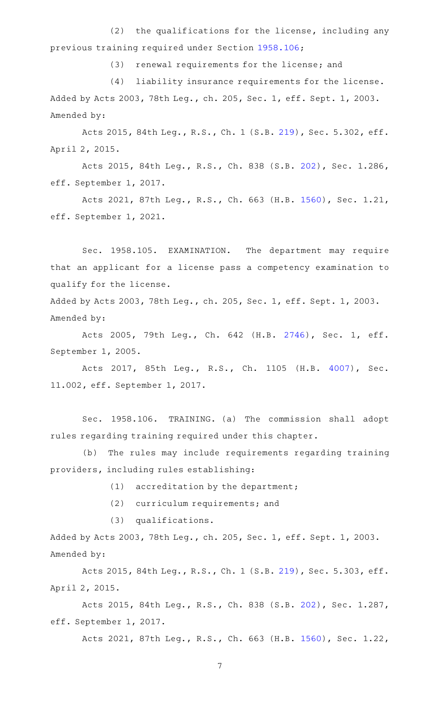$(2)$  the qualifications for the license, including any previous training required under Section [1958.106](http://www.statutes.legis.state.tx.us/GetStatute.aspx?Code=OC&Value=1958.106);

(3) renewal requirements for the license; and

(4) liability insurance requirements for the license. Added by Acts 2003, 78th Leg., ch. 205, Sec. 1, eff. Sept. 1, 2003. Amended by:

Acts 2015, 84th Leg., R.S., Ch. 1 (S.B. [219](http://www.legis.state.tx.us/tlodocs/84R/billtext/html/SB00219F.HTM)), Sec. 5.302, eff. April 2, 2015.

Acts 2015, 84th Leg., R.S., Ch. 838 (S.B. [202](http://www.legis.state.tx.us/tlodocs/84R/billtext/html/SB00202F.HTM)), Sec. 1.286, eff. September 1, 2017.

Acts 2021, 87th Leg., R.S., Ch. 663 (H.B. [1560\)](http://www.legis.state.tx.us/tlodocs/87R/billtext/html/HB01560F.HTM), Sec. 1.21, eff. September 1, 2021.

Sec. 1958.105. EXAMINATION. The department may require that an applicant for a license pass a competency examination to qualify for the license.

Added by Acts 2003, 78th Leg., ch. 205, Sec. 1, eff. Sept. 1, 2003. Amended by:

Acts 2005, 79th Leg., Ch. 642 (H.B. [2746](http://www.legis.state.tx.us/tlodocs/79R/billtext/html/HB02746F.HTM)), Sec. 1, eff. September 1, 2005.

Acts 2017, 85th Leg., R.S., Ch. 1105 (H.B. [4007\)](http://www.legis.state.tx.us/tlodocs/85R/billtext/html/HB04007F.HTM), Sec. 11.002, eff. September 1, 2017.

Sec. 1958.106. TRAINING. (a) The commission shall adopt rules regarding training required under this chapter.

(b) The rules may include requirements regarding training providers, including rules establishing:

 $(1)$  accreditation by the department;

(2) curriculum requirements; and

 $(3)$  qualifications.

Added by Acts 2003, 78th Leg., ch. 205, Sec. 1, eff. Sept. 1, 2003. Amended by:

Acts 2015, 84th Leg., R.S., Ch. 1 (S.B. [219](http://www.legis.state.tx.us/tlodocs/84R/billtext/html/SB00219F.HTM)), Sec. 5.303, eff. April 2, 2015.

Acts 2015, 84th Leg., R.S., Ch. 838 (S.B. [202](http://www.legis.state.tx.us/tlodocs/84R/billtext/html/SB00202F.HTM)), Sec. 1.287, eff. September 1, 2017.

Acts 2021, 87th Leg., R.S., Ch. 663 (H.B. [1560\)](http://www.legis.state.tx.us/tlodocs/87R/billtext/html/HB01560F.HTM), Sec. 1.22,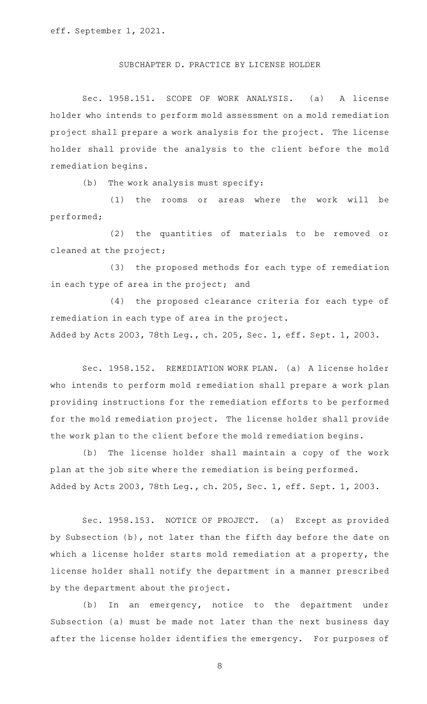## SUBCHAPTER D. PRACTICE BY LICENSE HOLDER

Sec. 1958.151. SCOPE OF WORK ANALYSIS. (a) A license holder who intends to perform mold assessment on a mold remediation project shall prepare a work analysis for the project. The license holder shall provide the analysis to the client before the mold remediation begins.

 $(b)$  The work analysis must specify:

(1) the rooms or areas where the work will be performed;

(2) the quantities of materials to be removed or cleaned at the project;

(3) the proposed methods for each type of remediation in each type of area in the project; and

(4) the proposed clearance criteria for each type of remediation in each type of area in the project.

Added by Acts 2003, 78th Leg., ch. 205, Sec. 1, eff. Sept. 1, 2003.

Sec. 1958.152. REMEDIATION WORK PLAN. (a) A license holder who intends to perform mold remediation shall prepare a work plan providing instructions for the remediation efforts to be performed for the mold remediation project. The license holder shall provide the work plan to the client before the mold remediation begins.

(b) The license holder shall maintain a copy of the work plan at the job site where the remediation is being performed. Added by Acts 2003, 78th Leg., ch. 205, Sec. 1, eff. Sept. 1, 2003.

Sec. 1958.153. NOTICE OF PROJECT. (a) Except as provided by Subsection (b), not later than the fifth day before the date on which a license holder starts mold remediation at a property, the license holder shall notify the department in a manner prescribed by the department about the project.

 $(b)$  In an emergency, notice to the department under Subsection (a) must be made not later than the next business day after the license holder identifies the emergency. For purposes of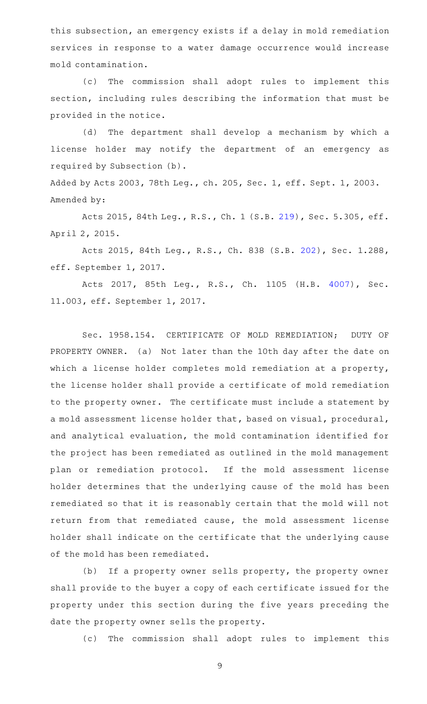this subsection, an emergency exists if a delay in mold remediation services in response to a water damage occurrence would increase mold contamination.

(c) The commission shall adopt rules to implement this section, including rules describing the information that must be provided in the notice.

(d) The department shall develop a mechanism by which a license holder may notify the department of an emergency as required by Subsection (b).

Added by Acts 2003, 78th Leg., ch. 205, Sec. 1, eff. Sept. 1, 2003. Amended by:

Acts 2015, 84th Leg., R.S., Ch. 1 (S.B. [219](http://www.legis.state.tx.us/tlodocs/84R/billtext/html/SB00219F.HTM)), Sec. 5.305, eff. April 2, 2015.

Acts 2015, 84th Leg., R.S., Ch. 838 (S.B. [202](http://www.legis.state.tx.us/tlodocs/84R/billtext/html/SB00202F.HTM)), Sec. 1.288, eff. September 1, 2017.

Acts 2017, 85th Leg., R.S., Ch. 1105 (H.B. [4007\)](http://www.legis.state.tx.us/tlodocs/85R/billtext/html/HB04007F.HTM), Sec. 11.003, eff. September 1, 2017.

Sec. 1958.154. CERTIFICATE OF MOLD REMEDIATION; DUTY OF PROPERTY OWNER. (a) Not later than the 10th day after the date on which a license holder completes mold remediation at a property, the license holder shall provide a certificate of mold remediation to the property owner. The certificate must include a statement by a mold assessment license holder that, based on visual, procedural, and analytical evaluation, the mold contamination identified for the project has been remediated as outlined in the mold management plan or remediation protocol. If the mold assessment license holder determines that the underlying cause of the mold has been remediated so that it is reasonably certain that the mold will not return from that remediated cause, the mold assessment license holder shall indicate on the certificate that the underlying cause of the mold has been remediated.

(b) If a property owner sells property, the property owner shall provide to the buyer a copy of each certificate issued for the property under this section during the five years preceding the date the property owner sells the property.

(c) The commission shall adopt rules to implement this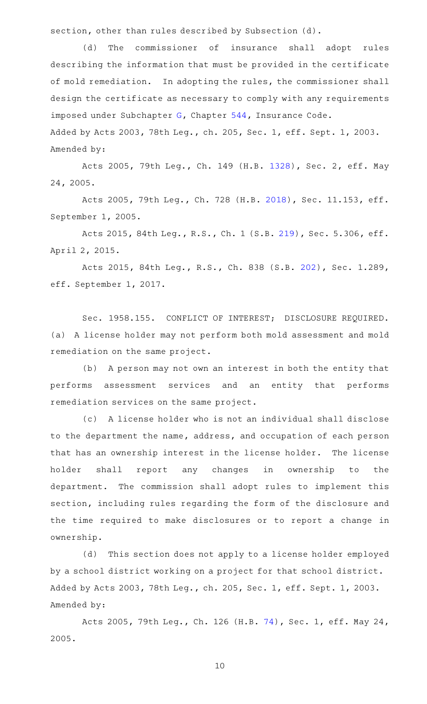section, other than rules described by Subsection (d).

(d) The commissioner of insurance shall adopt rules describing the information that must be provided in the certificate of mold remediation. In adopting the rules, the commissioner shall design the certificate as necessary to comply with any requirements imposed under Subchapter [G,](http://www.statutes.legis.state.tx.us/GetStatute.aspx?Code=IN&Value=544.301) Chapter [544,](http://www.statutes.legis.state.tx.us/GetStatute.aspx?Code=IN&Value=544) Insurance Code. Added by Acts 2003, 78th Leg., ch. 205, Sec. 1, eff. Sept. 1, 2003.

Amended by:

Acts 2005, 79th Leg., Ch. 149 (H.B. [1328](http://www.legis.state.tx.us/tlodocs/79R/billtext/html/HB01328F.HTM)), Sec. 2, eff. May 24, 2005.

Acts 2005, 79th Leg., Ch. 728 (H.B. [2018\)](http://www.legis.state.tx.us/tlodocs/79R/billtext/html/HB02018F.HTM), Sec. 11.153, eff. September 1, 2005.

Acts 2015, 84th Leg., R.S., Ch. 1 (S.B. [219](http://www.legis.state.tx.us/tlodocs/84R/billtext/html/SB00219F.HTM)), Sec. 5.306, eff. April 2, 2015.

Acts 2015, 84th Leg., R.S., Ch. 838 (S.B. [202](http://www.legis.state.tx.us/tlodocs/84R/billtext/html/SB00202F.HTM)), Sec. 1.289, eff. September 1, 2017.

Sec. 1958.155. CONFLICT OF INTEREST; DISCLOSURE REQUIRED. (a) A license holder may not perform both mold assessment and mold remediation on the same project.

(b) A person may not own an interest in both the entity that performs assessment services and an entity that performs remediation services on the same project.

(c)AAA license holder who is not an individual shall disclose to the department the name, address, and occupation of each person that has an ownership interest in the license holder. The license holder shall report any changes in ownership to the department. The commission shall adopt rules to implement this section, including rules regarding the form of the disclosure and the time required to make disclosures or to report a change in ownership.

(d) This section does not apply to a license holder employed by a school district working on a project for that school district. Added by Acts 2003, 78th Leg., ch. 205, Sec. 1, eff. Sept. 1, 2003. Amended by:

Acts 2005, 79th Leg., Ch. 126 (H.B. [74\)](http://www.legis.state.tx.us/tlodocs/79R/billtext/html/HB00074F.HTM), Sec. 1, eff. May 24, 2005.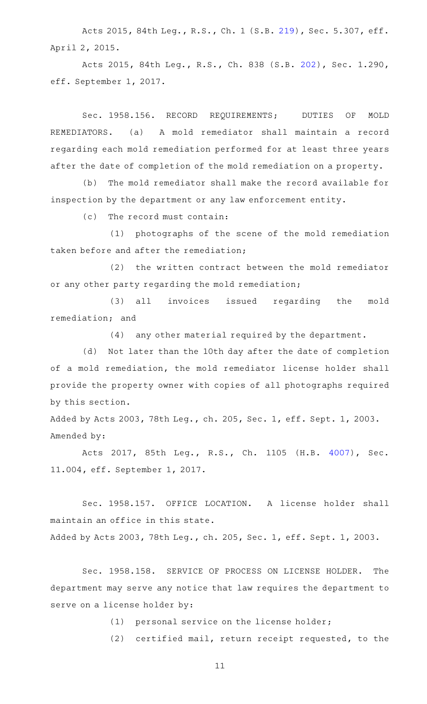Acts 2015, 84th Leg., R.S., Ch. 1 (S.B. [219](http://www.legis.state.tx.us/tlodocs/84R/billtext/html/SB00219F.HTM)), Sec. 5.307, eff. April 2, 2015.

Acts 2015, 84th Leg., R.S., Ch. 838 (S.B. [202](http://www.legis.state.tx.us/tlodocs/84R/billtext/html/SB00202F.HTM)), Sec. 1.290, eff. September 1, 2017.

Sec. 1958.156. RECORD REQUIREMENTS; DUTIES OF MOLD REMEDIATORS. (a) A mold remediator shall maintain a record regarding each mold remediation performed for at least three years after the date of completion of the mold remediation on a property.

(b) The mold remediator shall make the record available for inspection by the department or any law enforcement entity.

 $(c)$  The record must contain:

(1) photographs of the scene of the mold remediation taken before and after the remediation;

(2) the written contract between the mold remediator or any other party regarding the mold remediation;

(3) all invoices issued regarding the mold remediation; and

 $(4)$  any other material required by the department.

(d) Not later than the 10th day after the date of completion of a mold remediation, the mold remediator license holder shall provide the property owner with copies of all photographs required by this section.

Added by Acts 2003, 78th Leg., ch. 205, Sec. 1, eff. Sept. 1, 2003. Amended by:

Acts 2017, 85th Leg., R.S., Ch. 1105 (H.B. [4007\)](http://www.legis.state.tx.us/tlodocs/85R/billtext/html/HB04007F.HTM), Sec. 11.004, eff. September 1, 2017.

Sec. 1958.157. OFFICE LOCATION. A license holder shall maintain an office in this state.

Added by Acts 2003, 78th Leg., ch. 205, Sec. 1, eff. Sept. 1, 2003.

Sec. 1958.158. SERVICE OF PROCESS ON LICENSE HOLDER. The department may serve any notice that law requires the department to serve on a license holder by:

(1) personal service on the license holder;

(2) certified mail, return receipt requested, to the